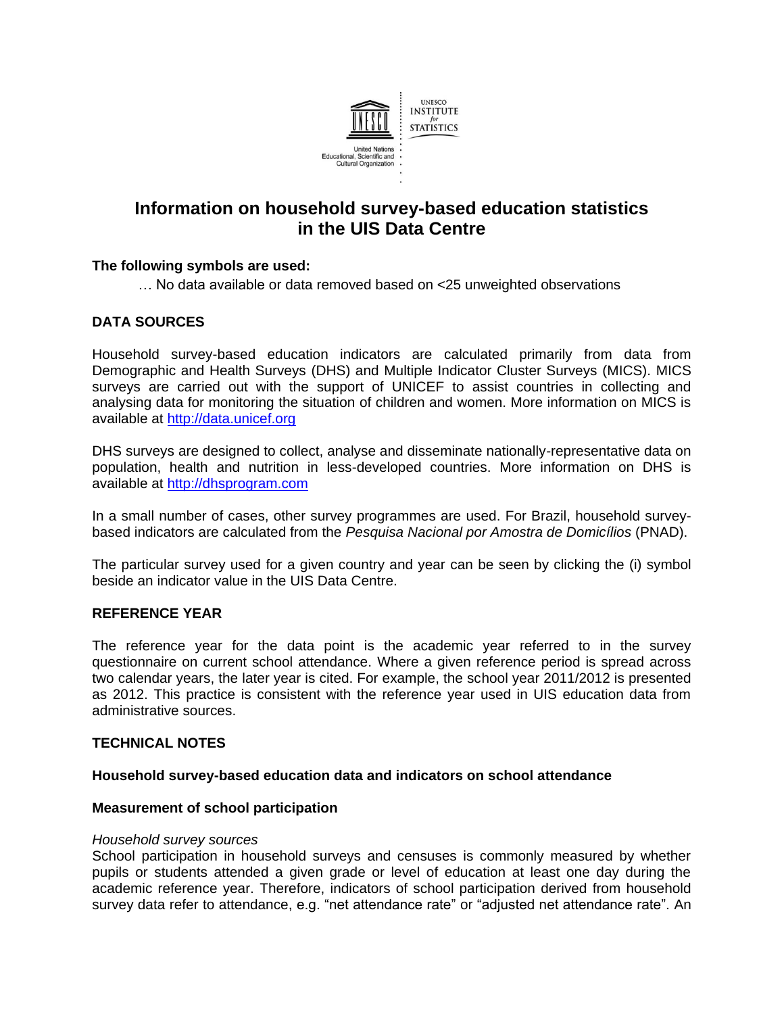

# **Information on household survey-based education statistics in the UIS Data Centre**

## **The following symbols are used:**

… No data available or data removed based on <25 unweighted observations

# **DATA SOURCES**

Household survey-based education indicators are calculated primarily from data from Demographic and Health Surveys (DHS) and Multiple Indicator Cluster Surveys (MICS). MICS surveys are carried out with the support of UNICEF to assist countries in collecting and analysing data for monitoring the situation of children and women. More information on MICS is available at [http://data.unicef.org](http://data.unicef.org/)

DHS surveys are designed to collect, analyse and disseminate nationally-representative data on population, health and nutrition in less-developed countries. More information on DHS is available at [http://dhsprogram.com](http://dhsprogram.com/)

In a small number of cases, other survey programmes are used. For Brazil, household surveybased indicators are calculated from the *Pesquisa Nacional por Amostra de Domicílios* (PNAD).

The particular survey used for a given country and year can be seen by clicking the (i) symbol beside an indicator value in the UIS Data Centre.

# **REFERENCE YEAR**

The reference year for the data point is the academic year referred to in the survey questionnaire on current school attendance. Where a given reference period is spread across two calendar years, the later year is cited. For example, the school year 2011/2012 is presented as 2012. This practice is consistent with the reference year used in UIS education data from administrative sources.

## **TECHNICAL NOTES**

## **Household survey-based education data and indicators on school attendance**

## **Measurement of school participation**

## *Household survey sources*

School participation in household surveys and censuses is commonly measured by whether pupils or students attended a given grade or level of education at least one day during the academic reference year. Therefore, indicators of school participation derived from household survey data refer to attendance, e.g. "net attendance rate" or "adjusted net attendance rate". An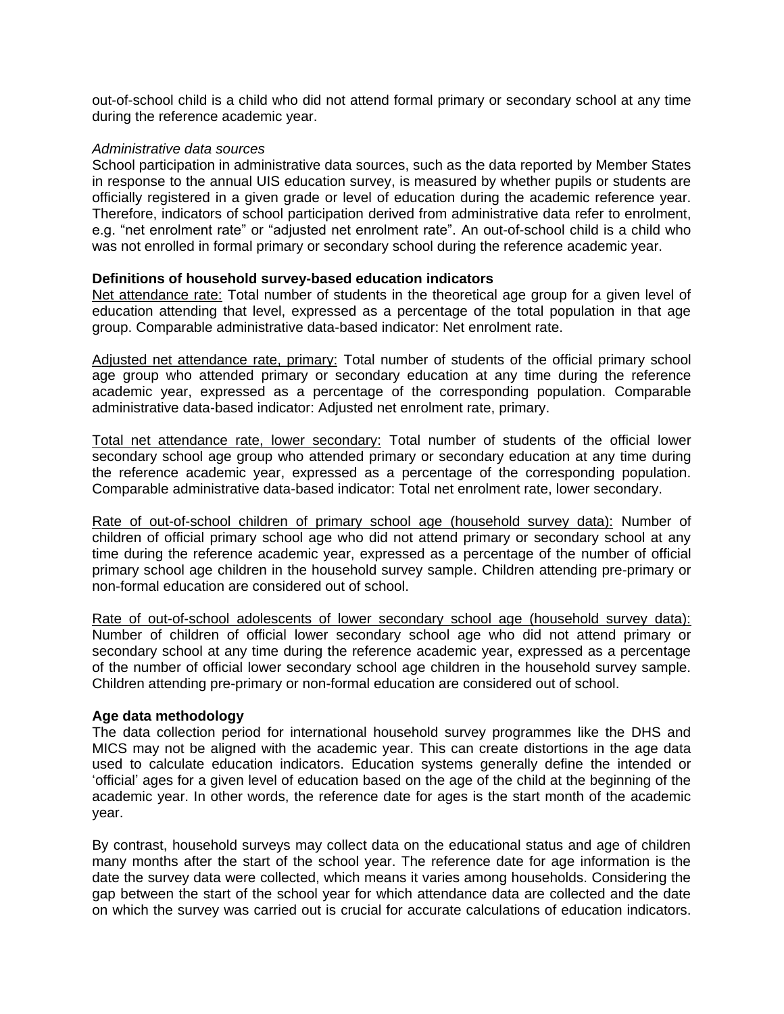out-of-school child is a child who did not attend formal primary or secondary school at any time during the reference academic year.

#### *Administrative data sources*

School participation in administrative data sources, such as the data reported by Member States in response to the annual UIS education survey, is measured by whether pupils or students are officially registered in a given grade or level of education during the academic reference year. Therefore, indicators of school participation derived from administrative data refer to enrolment, e.g. "net enrolment rate" or "adjusted net enrolment rate". An out-of-school child is a child who was not enrolled in formal primary or secondary school during the reference academic year.

## **Definitions of household survey-based education indicators**

Net attendance rate: Total number of students in the theoretical age group for a given level of education attending that level, expressed as a percentage of the total population in that age group. Comparable administrative data-based indicator: Net enrolment rate.

Adjusted net attendance rate, primary: Total number of students of the official primary school age group who attended primary or secondary education at any time during the reference academic year, expressed as a percentage of the corresponding population. Comparable administrative data-based indicator: Adjusted net enrolment rate, primary.

Total net attendance rate, lower secondary: Total number of students of the official lower secondary school age group who attended primary or secondary education at any time during the reference academic year, expressed as a percentage of the corresponding population. Comparable administrative data-based indicator: Total net enrolment rate, lower secondary.

Rate of out-of-school children of primary school age (household survey data): Number of children of official primary school age who did not attend primary or secondary school at any time during the reference academic year, expressed as a percentage of the number of official primary school age children in the household survey sample. Children attending pre-primary or non-formal education are considered out of school.

Rate of out-of-school adolescents of lower secondary school age (household survey data): Number of children of official lower secondary school age who did not attend primary or secondary school at any time during the reference academic year, expressed as a percentage of the number of official lower secondary school age children in the household survey sample. Children attending pre-primary or non-formal education are considered out of school.

## **Age data methodology**

The data collection period for international household survey programmes like the DHS and MICS may not be aligned with the academic year. This can create distortions in the age data used to calculate education indicators. Education systems generally define the intended or 'official' ages for a given level of education based on the age of the child at the beginning of the academic year. In other words, the reference date for ages is the start month of the academic year.

By contrast, household surveys may collect data on the educational status and age of children many months after the start of the school year. The reference date for age information is the date the survey data were collected, which means it varies among households. Considering the gap between the start of the school year for which attendance data are collected and the date on which the survey was carried out is crucial for accurate calculations of education indicators.